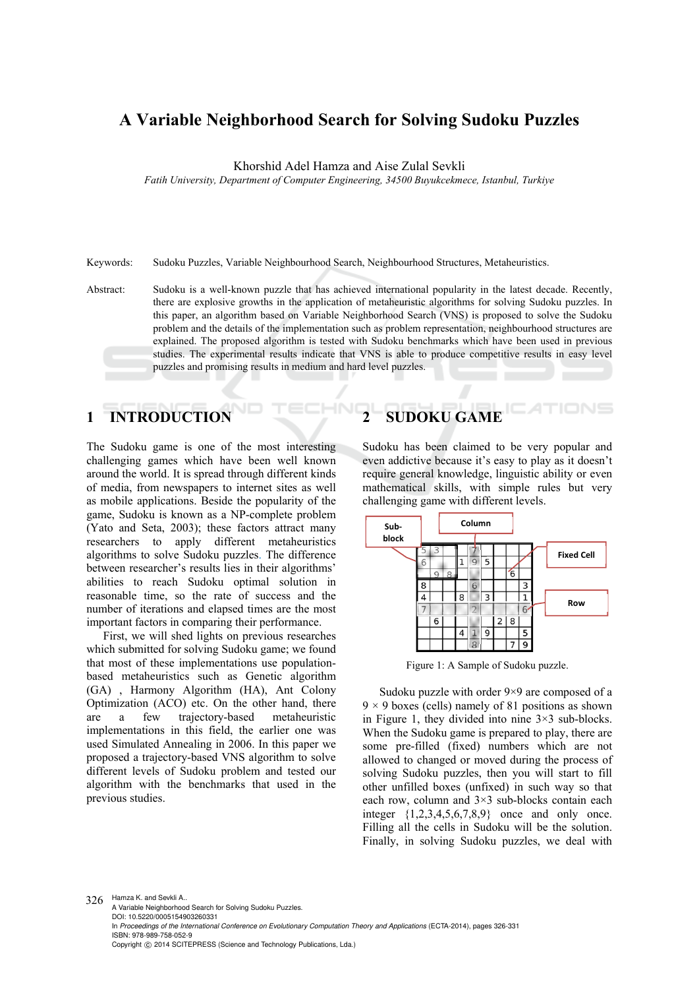## **A Variable Neighborhood Search for Solving Sudoku Puzzles**

Khorshid Adel Hamza and Aise Zulal Sevkli

*Fatih University, Department of Computer Engineering, 34500 Buyukcekmece, Istanbul, Turkiye* 

Keywords: Sudoku Puzzles, Variable Neighbourhood Search, Neighbourhood Structures, Metaheuristics.

Abstract: Sudoku is a well-known puzzle that has achieved international popularity in the latest decade. Recently, there are explosive growths in the application of metaheuristic algorithms for solving Sudoku puzzles. In this paper, an algorithm based on Variable Neighborhood Search (VNS) is proposed to solve the Sudoku problem and the details of the implementation such as problem representation, neighbourhood structures are explained. The proposed algorithm is tested with Sudoku benchmarks which have been used in previous studies. The experimental results indicate that VNS is able to produce competitive results in easy level puzzles and promising results in medium and hard level puzzles.

IN

# **1 INTRODUCTION**

The Sudoku game is one of the most interesting challenging games which have been well known around the world. It is spread through different kinds of media, from newspapers to internet sites as well as mobile applications. Beside the popularity of the game, Sudoku is known as a NP-complete problem (Yato and Seta, 2003); these factors attract many researchers to apply different metaheuristics algorithms to solve Sudoku puzzles. The difference between researcher's results lies in their algorithms' abilities to reach Sudoku optimal solution in reasonable time, so the rate of success and the number of iterations and elapsed times are the most important factors in comparing their performance.

First, we will shed lights on previous researches which submitted for solving Sudoku game; we found that most of these implementations use populationbased metaheuristics such as Genetic algorithm (GA) , Harmony Algorithm (HA), Ant Colony Optimization (ACO) etc. On the other hand, there are a few trajectory-based metaheuristic implementations in this field, the earlier one was used Simulated Annealing in 2006. In this paper we proposed a trajectory-based VNS algorithm to solve different levels of Sudoku problem and tested our algorithm with the benchmarks that used in the previous studies.

# **2 SUDOKU GAME**

Sudoku has been claimed to be very popular and even addictive because it's easy to play as it doesn't require general knowledge, linguistic ability or even mathematical skills, with simple rules but very challenging game with different levels.



Figure 1: A Sample of Sudoku puzzle.

Sudoku puzzle with order 9×9 are composed of a  $9 \times 9$  boxes (cells) namely of 81 positions as shown in Figure 1, they divided into nine  $3\times3$  sub-blocks. When the Sudoku game is prepared to play, there are some pre-filled (fixed) numbers which are not allowed to changed or moved during the process of solving Sudoku puzzles, then you will start to fill other unfilled boxes (unfixed) in such way so that each row, column and 3×3 sub-blocks contain each integer {1,2,3,4,5,6,7,8,9} once and only once. Filling all the cells in Sudoku will be the solution. Finally, in solving Sudoku puzzles, we deal with

326 Hamza K. and Sevkli A. A Variable Neighborhood Search for Solving Sudoku Puzzles. DOI: 10.5220/0005154903260331 In *Proceedings of the International Conference on Evolutionary Computation Theory and Applications* (ECTA-2014), pages 326-331 ISBN: 978-989-758-052-9 Copyright © 2014 SCITEPRESS (Science and Technology Publications, Lda.)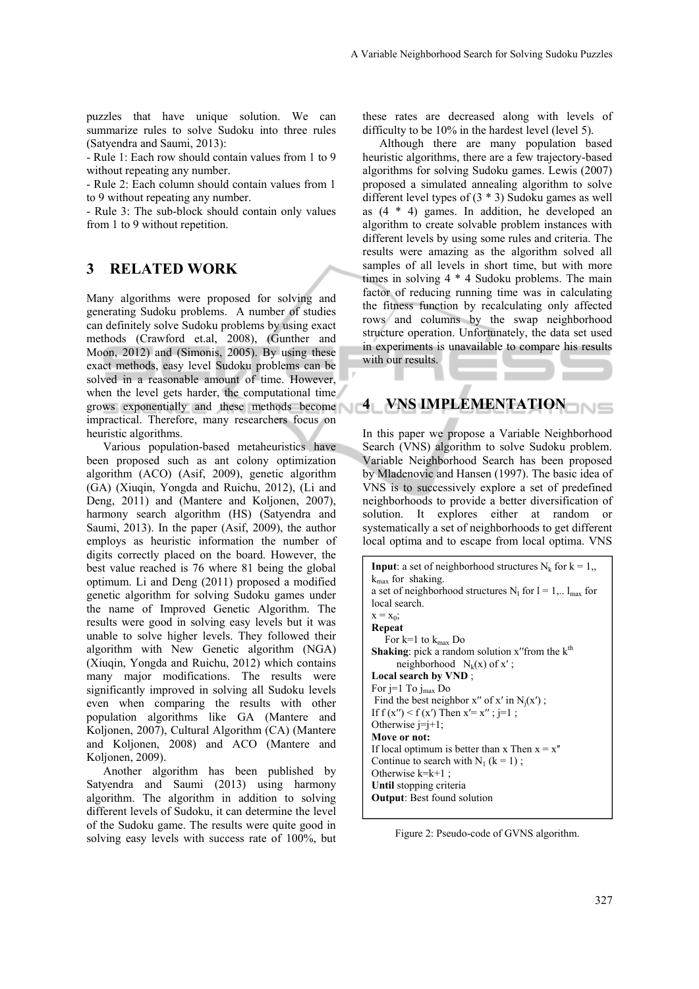puzzles that have unique solution. We can summarize rules to solve Sudoku into three rules (Satyendra and Saumi, 2013):

- Rule 1: Each row should contain values from 1 to 9 without repeating any number.

- Rule 2: Each column should contain values from 1 to 9 without repeating any number.

- Rule 3: The sub-block should contain only values from 1 to 9 without repetition.

### **3 RELATED WORK**

Many algorithms were proposed for solving and generating Sudoku problems. A number of studies can definitely solve Sudoku problems by using exact methods (Crawford et.al, 2008), (Gunther and Moon, 2012) and (Simonis, 2005). By using these exact methods, easy level Sudoku problems can be solved in a reasonable amount of time. However, when the level gets harder, the computational time grows exponentially and these methods become impractical. Therefore, many researchers focus on heuristic algorithms.

Various population-based metaheuristics have been proposed such as ant colony optimization algorithm (ACO) (Asif, 2009), genetic algorithm (GA) (Xiuqin, Yongda and Ruichu, 2012), (Li and Deng, 2011) and (Mantere and Koljonen, 2007), harmony search algorithm (HS) (Satyendra and Saumi, 2013). In the paper (Asif, 2009), the author employs as heuristic information the number of digits correctly placed on the board. However, the best value reached is 76 where 81 being the global optimum. Li and Deng (2011) proposed a modified genetic algorithm for solving Sudoku games under the name of Improved Genetic Algorithm. The results were good in solving easy levels but it was unable to solve higher levels. They followed their algorithm with New Genetic algorithm (NGA) (Xiuqin, Yongda and Ruichu, 2012) which contains many major modifications. The results were significantly improved in solving all Sudoku levels even when comparing the results with other population algorithms like GA (Mantere and Koljonen, 2007), Cultural Algorithm (CA) (Mantere and Koljonen, 2008) and ACO (Mantere and Kolionen, 2009).

Another algorithm has been published by Satyendra and Saumi (2013) using harmony algorithm. The algorithm in addition to solving different levels of Sudoku, it can determine the level of the Sudoku game. The results were quite good in solving easy levels with success rate of 100%, but

these rates are decreased along with levels of difficulty to be 10% in the hardest level (level 5).

Although there are many population based heuristic algorithms, there are a few trajectory-based algorithms for solving Sudoku games. Lewis (2007) proposed a simulated annealing algorithm to solve different level types of (3 \* 3) Sudoku games as well as (4 \* 4) games. In addition, he developed an algorithm to create solvable problem instances with different levels by using some rules and criteria. The results were amazing as the algorithm solved all samples of all levels in short time, but with more times in solving 4 \* 4 Sudoku problems. The main factor of reducing running time was in calculating the fitness function by recalculating only affected rows and columns by the swap neighborhood structure operation. Unfortunately, the data set used in experiments is unavailable to compare his results with our results.

# **4 VNS IMPLEMENTATION**

In this paper we propose a Variable Neighborhood Search (VNS) algorithm to solve Sudoku problem. Variable Neighborhood Search has been proposed by Mladenovic and Hansen (1997). The basic idea of VNS is to successively explore a set of predefined neighborhoods to provide a better diversification of solution. It explores either at random or systematically a set of neighborhoods to get different local optima and to escape from local optima. VNS

```
Input: a set of neighborhood structures N_k for k = 1,
k_{\text{max}} for shaking.
a set of neighborhood structures N<sub>l</sub> for l = 1,.. l_{max} for
local search. 
x = x_0;Repeat 
   For k=1 to k_{max} Do
Shaking: pick a random solution x'' from the k^{th}neighborhood N_k(x) of x';
Local search by VND ; 
For j=1 To j_{max} Do
Find the best neighbor x'' of x' in N_i(x');
If f(x'') < f(x') Then x' = x''; j=1;
Otherwise j=j+1;
Move or not: 
If local optimum is better than x Then x = x''Continue to search with N_1 (k = 1);
Otherwise k=k+1;
Until stopping criteria 
Output: Best found solution
```
Figure 2: Pseudo-code of GVNS algorithm.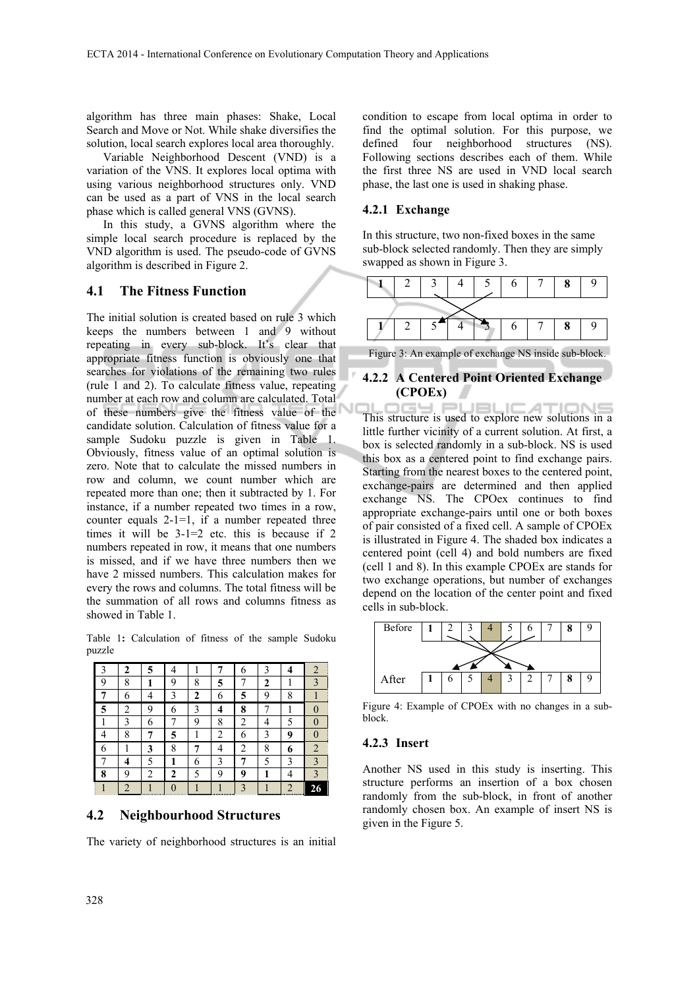algorithm has three main phases: Shake, Local Search and Move or Not. While shake diversifies the solution, local search explores local area thoroughly.

Variable Neighborhood Descent (VND) is a variation of the VNS. It explores local optima with using various neighborhood structures only. VND can be used as a part of VNS in the local search phase which is called general VNS (GVNS).

In this study, a GVNS algorithm where the simple local search procedure is replaced by the VND algorithm is used. The pseudo-code of GVNS algorithm is described in Figure 2.

#### **4.1 The Fitness Function**

The initial solution is created based on rule 3 which keeps the numbers between 1 and 9 without repeating in every sub-block. It's clear that appropriate fitness function is obviously one that searches for violations of the remaining two rules (rule 1 and 2). To calculate fitness value, repeating number at each row and column are calculated. Total of these numbers give the fitness value of the candidate solution. Calculation of fitness value for a sample Sudoku puzzle is given in Table 1. Obviously, fitness value of an optimal solution is zero. Note that to calculate the missed numbers in row and column, we count number which are repeated more than one; then it subtracted by 1. For instance, if a number repeated two times in a row, counter equals 2-1=1, if a number repeated three times it will be  $3-1=2$  etc. this is because if 2 numbers repeated in row, it means that one numbers is missed, and if we have three numbers then we have 2 missed numbers. This calculation makes for every the rows and columns. The total fitness will be the summation of all rows and columns fitness as showed in Table 1.

Table 1**:** Calculation of fitness of the sample Sudoku puzzle

| 3 | 2              | 5 | 4        |              |   | 6              | 3 | 4 | 2              |
|---|----------------|---|----------|--------------|---|----------------|---|---|----------------|
| 9 | 8              | 1 | 9        | 8            | 5 |                | 2 |   |                |
| 7 | 6              | 4 | 3        | $\mathbf{2}$ | 6 | 5              | 9 | 8 |                |
| 5 | 2              | 9 | 6        | 3            | 4 | 8              |   |   |                |
|   | 3              | 6 |          | 9            | 8 | 2              |   | 5 |                |
| 4 | 8              |   | 5        |              | 2 | 6              | 3 | 9 |                |
| 6 |                | 3 | 8        |              |   | $\overline{2}$ | 8 | 6 | $\overline{2}$ |
|   | 4              | 5 | 1        | 6            | 3 | 7              | 5 | 3 | 3              |
| 8 | 9              | 2 | 2        | 5            | 9 | 9              |   |   | 3              |
|   | $\overline{c}$ |   | $\theta$ |              |   | 3              |   | 2 |                |

#### **4.2 Neighbourhood Structures**

The variety of neighborhood structures is an initial

condition to escape from local optima in order to find the optimal solution. For this purpose, we defined four neighborhood structures (NS). Following sections describes each of them. While the first three NS are used in VND local search phase, the last one is used in shaking phase.

#### **4.2.1 Exchange**

In this structure, two non-fixed boxes in the same sub-block selected randomly. Then they are simply swapped as shown in Figure 3.



Figure 3: An example of exchange NS inside sub-block.

#### **4.2.2 A Centered Point Oriented Exchange (CPOEx)**

This structure is used to explore new solutions in a little further vicinity of a current solution. At first, a box is selected randomly in a sub-block. NS is used this box as a centered point to find exchange pairs. Starting from the nearest boxes to the centered point, exchange-pairs are determined and then applied exchange NS. The CPOex continues to find appropriate exchange-pairs until one or both boxes of pair consisted of a fixed cell. A sample of CPOEx is illustrated in Figure 4. The shaded box indicates a centered point (cell 4) and bold numbers are fixed (cell 1 and 8). In this example CPOEx are stands for two exchange operations, but number of exchanges depend on the location of the center point and fixed cells in sub-block.



Figure 4: Example of CPOEx with no changes in a subblock.

#### **4.2.3 Insert**

Another NS used in this study is inserting. This structure performs an insertion of a box chosen randomly from the sub-block, in front of another randomly chosen box. An example of insert NS is given in the Figure 5.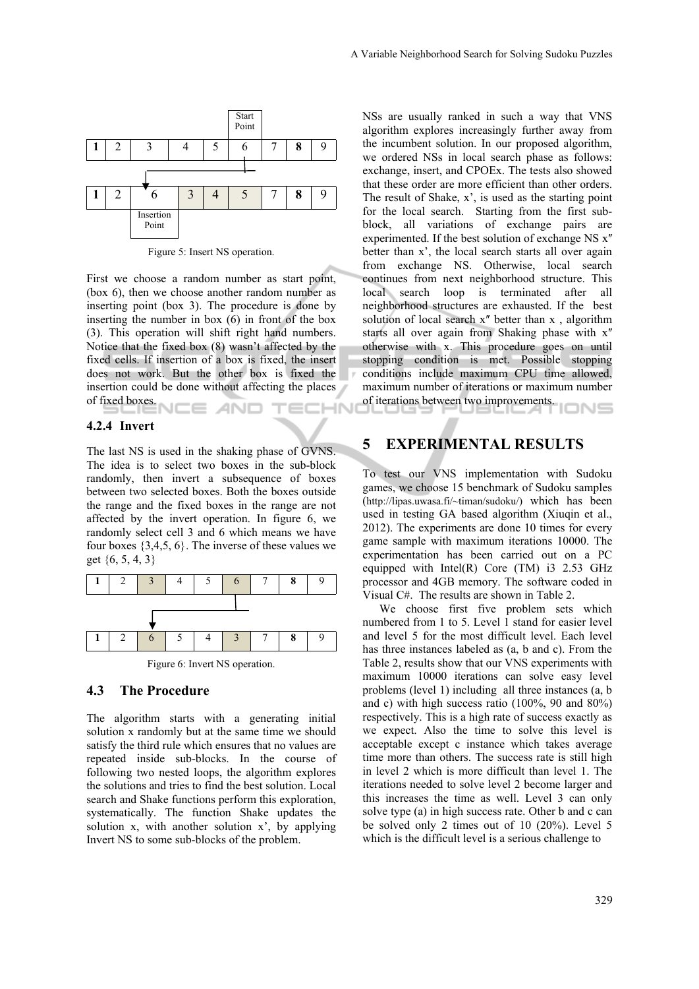

Figure 5: Insert NS operation.

First we choose a random number as start point, (box 6), then we choose another random number as inserting point (box 3). The procedure is done by inserting the number in box (6) in front of the box (3). This operation will shift right hand numbers. Notice that the fixed box (8) wasn't affected by the fixed cells. If insertion of a box is fixed, the insert does not work. But the other box is fixed the insertion could be done without affecting the places of fixed boxes.  $=$ **AND HN** 

#### **4.2.4 Invert**

The last NS is used in the shaking phase of GVNS. The idea is to select two boxes in the sub-block randomly, then invert a subsequence of boxes between two selected boxes. Both the boxes outside the range and the fixed boxes in the range are not affected by the invert operation. In figure 6, we randomly select cell 3 and 6 which means we have four boxes  $\{3,4,5,6\}$ . The inverse of these values we get {6, 5, 4, 3}



Figure 6: Invert NS operation.

#### **4.3 The Procedure**

The algorithm starts with a generating initial solution x randomly but at the same time we should satisfy the third rule which ensures that no values are repeated inside sub-blocks. In the course of following two nested loops, the algorithm explores the solutions and tries to find the best solution. Local search and Shake functions perform this exploration, systematically. The function Shake updates the solution x, with another solution x', by applying Invert NS to some sub-blocks of the problem.

NSs are usually ranked in such a way that VNS algorithm explores increasingly further away from the incumbent solution. In our proposed algorithm, we ordered NSs in local search phase as follows: exchange, insert, and CPOEx. The tests also showed that these order are more efficient than other orders. The result of Shake, x', is used as the starting point for the local search. Starting from the first subblock, all variations of exchange pairs are experimented. If the best solution of exchange NS  $x''$ better than x', the local search starts all over again from exchange NS. Otherwise, local search continues from next neighborhood structure. This local search loop is terminated after all neighborhood structures are exhausted. If the best solution of local search  $x''$  better than  $x$ , algorithm starts all over again from Shaking phase with x" otherwise with x. This procedure goes on until stopping condition is met. Possible stopping conditions include maximum CPU time allowed, maximum number of iterations or maximum number of iterations between two improvements.

#### **5 EXPERIMENTAL RESULTS**

To test our VNS implementation with Sudoku games, we choose 15 benchmark of Sudoku samples (http://lipas.uwasa.fi/~timan/sudoku/) which has been used in testing GA based algorithm (Xiuqin et al., 2012). The experiments are done 10 times for every game sample with maximum iterations 10000. The experimentation has been carried out on a PC equipped with Intel(R) Core (TM) i3 2.53 GHz processor and 4GB memory. The software coded in Visual C#. The results are shown in Table 2.

We choose first five problem sets which numbered from 1 to 5. Level 1 stand for easier level and level 5 for the most difficult level. Each level has three instances labeled as (a, b and c). From the Table 2, results show that our VNS experiments with maximum 10000 iterations can solve easy level problems (level 1) including all three instances (a, b and c) with high success ratio (100%, 90 and 80%) respectively. This is a high rate of success exactly as we expect. Also the time to solve this level is acceptable except c instance which takes average time more than others. The success rate is still high in level 2 which is more difficult than level 1. The iterations needed to solve level 2 become larger and this increases the time as well. Level 3 can only solve type (a) in high success rate. Other b and c can be solved only 2 times out of 10 (20%). Level 5 which is the difficult level is a serious challenge to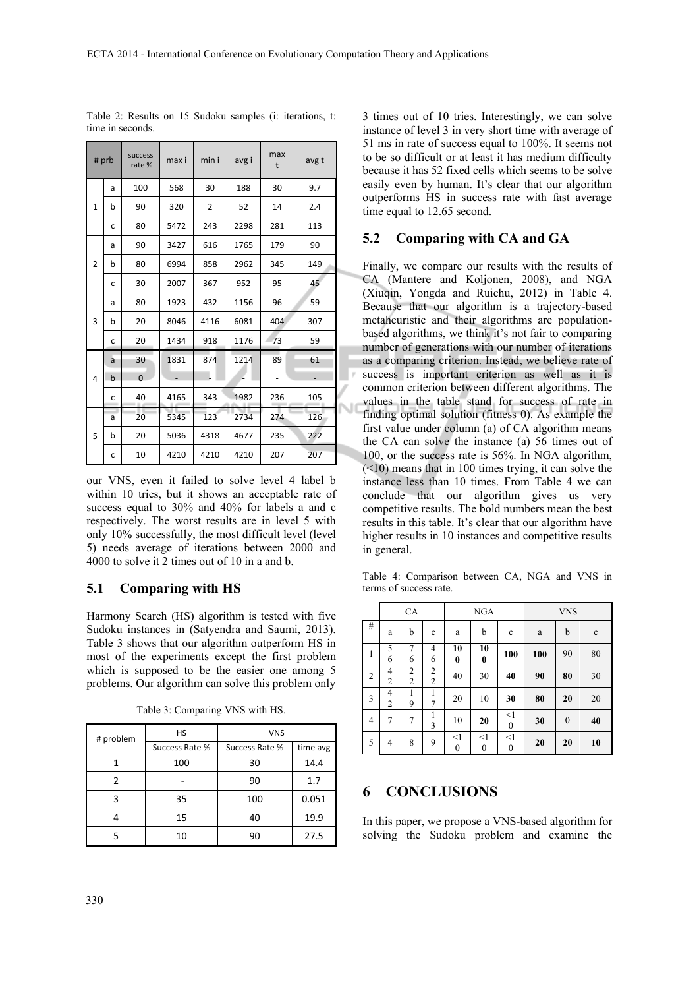| # prb          |             | success<br>rate% | max i | min i          | avg i | max<br>t | avg t |  |
|----------------|-------------|------------------|-------|----------------|-------|----------|-------|--|
|                | a           | 100              | 568   | 30             | 188   | 30       | 9.7   |  |
| $\mathbf{1}$   | b           | 90               | 320   | $\overline{2}$ | 52    | 14       | 2.4   |  |
|                | C           | 80               | 5472  | 243            | 2298  | 281      | 113   |  |
|                | a           | 90               | 3427  | 616            | 1765  | 179      | 90    |  |
| $\overline{2}$ | b           | 80               | 6994  | 858            | 2962  | 345      | 149   |  |
|                | C           | 30               | 2007  | 367            | 952   | 95       | 45    |  |
|                | a           | 80               | 1923  | 432            | 1156  | 96       | 59    |  |
| 3              | b           | 20               | 8046  | 4116           | 6081  | 404      | 307   |  |
|                | C           | 20               | 1434  | 918            | 1176  | 73       | 59    |  |
|                | a           | 30               | 1831  | 874            | 1214  | 89       | 61    |  |
| 4              | $\mathsf b$ | $\Omega$         |       |                |       |          |       |  |
|                | с           | 40               | 4165  | 343            | 1982  | 236      | 105   |  |
|                | a           | 20               | 5345  | 123            | 2734  | 274      | 126   |  |
| 5              | b           | 20               | 5036  | 4318           | 4677  | 235      | 222   |  |
|                | C           | 10               | 4210  | 4210           | 4210  | 207      | 207   |  |

Table 2: Results on 15 Sudoku samples (i: iterations, t: time in seconds.

our VNS, even it failed to solve level 4 label b within 10 tries, but it shows an acceptable rate of success equal to 30% and 40% for labels a and c respectively. The worst results are in level 5 with only 10% successfully, the most difficult level (level 5) needs average of iterations between 2000 and 4000 to solve it 2 times out of 10 in a and b.

#### **5.1 Comparing with HS**

Harmony Search (HS) algorithm is tested with five Sudoku instances in (Satyendra and Saumi, 2013). Table 3 shows that our algorithm outperform HS in most of the experiments except the first problem which is supposed to be the easier one among 5 problems. Our algorithm can solve this problem only

| # problem | <b>HS</b>      | <b>VNS</b>     |          |  |  |
|-----------|----------------|----------------|----------|--|--|
|           | Success Rate % | Success Rate % | time avg |  |  |
|           | 100            | 30             | 14.4     |  |  |
|           |                | 90             | 1.7      |  |  |
| 3         | 35             | 100            | 0.051    |  |  |
|           | 15             | 40             | 19.9     |  |  |
|           | 10             | 90             | 27.5     |  |  |

Table 3: Comparing VNS with HS.

3 times out of 10 tries. Interestingly, we can solve instance of level 3 in very short time with average of 51 ms in rate of success equal to 100%. It seems not to be so difficult or at least it has medium difficulty because it has 52 fixed cells which seems to be solve easily even by human. It's clear that our algorithm outperforms HS in success rate with fast average time equal to 12.65 second.

#### **5.2 Comparing with CA and GA**

Finally, we compare our results with the results of CA (Mantere and Koljonen, 2008), and NGA (Xiuqin, Yongda and Ruichu, 2012) in Table 4. Because that our algorithm is a trajectory-based metaheuristic and their algorithms are populationbased algorithms, we think it's not fair to comparing number of generations with our number of iterations as a comparing criterion. Instead, we believe rate of success is important criterion as well as it is common criterion between different algorithms. The values in the table stand for success of rate in finding optimal solution (fitness 0). As example the first value under column (a) of CA algorithm means the CA can solve the instance (a) 56 times out of 100, or the success rate is 56%. In NGA algorithm,  $(\leq 10)$  means that in 100 times trying, it can solve the instance less than 10 times. From Table 4 we can conclude that our algorithm gives us very competitive results. The bold numbers mean the best results in this table. It's clear that our algorithm have higher results in 10 instances and competitive results in general.

Table 4: Comparison between CA, NGA and VNS in terms of success rate.

|                | <b>CA</b>           |                                  |                                  | <b>NGA</b>                |                              |                              | <b>VNS</b> |          |             |  |
|----------------|---------------------|----------------------------------|----------------------------------|---------------------------|------------------------------|------------------------------|------------|----------|-------------|--|
| #              | a                   | b                                | $\mathbf c$                      | a                         | b                            | $\mathbf c$                  | a          | b        | $\mathbf c$ |  |
| $\mathbf{1}$   | 5<br>6              | 7<br>6                           | $\overline{4}$<br>6              | 10<br>0                   | 10<br>$\bf{0}$               | 100                          | 100        | 90       | 80          |  |
| $\overline{c}$ | 4<br>$\overline{2}$ | $\overline{c}$<br>$\overline{2}$ | $\overline{2}$<br>$\overline{c}$ | 40                        | 30                           | 40                           | 90         | 80       | 30          |  |
| 3              | 4<br>$\overline{2}$ | 1<br>9                           | 1<br>7                           | 20                        | 10                           | 30                           | 80         | 20       | 20          |  |
| $\overline{4}$ | 7                   | 7                                | 1<br>3                           | 10                        | 20                           | $\leq$ 1<br>$\boldsymbol{0}$ | 30         | $\theta$ | 40          |  |
| 5              | 4                   | 8                                | 9                                | $<$ 1<br>$\boldsymbol{0}$ | $\leq$ 1<br>$\boldsymbol{0}$ | $<$ 1<br>$\boldsymbol{0}$    | 20         | 20       | 10          |  |

#### **6 CONCLUSIONS**

In this paper, we propose a VNS-based algorithm for solving the Sudoku problem and examine the